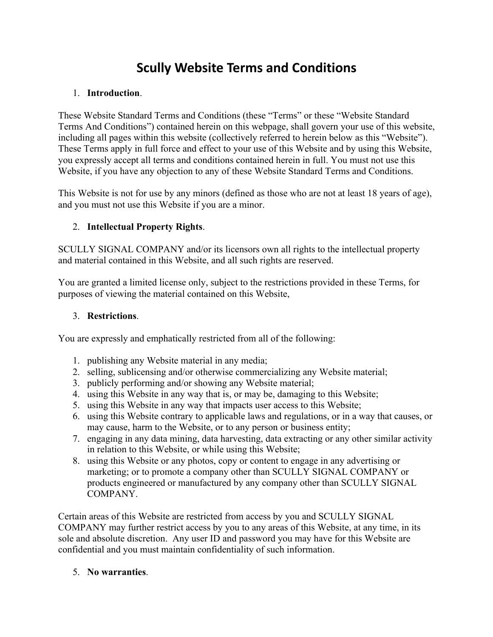# **Scully Website Terms and Conditions**

#### 1. **Introduction**.

These Website Standard Terms and Conditions (these "Terms" or these "Website Standard Terms And Conditions") contained herein on this webpage, shall govern your use of this website, including all pages within this website (collectively referred to herein below as this "Website"). These Terms apply in full force and effect to your use of this Website and by using this Website, you expressly accept all terms and conditions contained herein in full. You must not use this Website, if you have any objection to any of these Website Standard Terms and Conditions.

This Website is not for use by any minors (defined as those who are not at least 18 years of age), and you must not use this Website if you are a minor.

### 2. **Intellectual Property Rights**.

SCULLY SIGNAL COMPANY and/or its licensors own all rights to the intellectual property and material contained in this Website, and all such rights are reserved.

You are granted a limited license only, subject to the restrictions provided in these Terms, for purposes of viewing the material contained on this Website,

#### 3. **Restrictions**.

You are expressly and emphatically restricted from all of the following:

- 1. publishing any Website material in any media;
- 2. selling, sublicensing and/or otherwise commercializing any Website material;
- 3. publicly performing and/or showing any Website material;
- 4. using this Website in any way that is, or may be, damaging to this Website;
- 5. using this Website in any way that impacts user access to this Website;
- 6. using this Website contrary to applicable laws and regulations, or in a way that causes, or may cause, harm to the Website, or to any person or business entity;
- 7. engaging in any data mining, data harvesting, data extracting or any other similar activity in relation to this Website, or while using this Website;
- 8. using this Website or any photos, copy or content to engage in any advertising or marketing; or to promote a company other than SCULLY SIGNAL COMPANY or products engineered or manufactured by any company other than SCULLY SIGNAL COMPANY.

Certain areas of this Website are restricted from access by you and SCULLY SIGNAL COMPANY may further restrict access by you to any areas of this Website, at any time, in its sole and absolute discretion. Any user ID and password you may have for this Website are confidential and you must maintain confidentiality of such information.

#### 5. **No warranties**.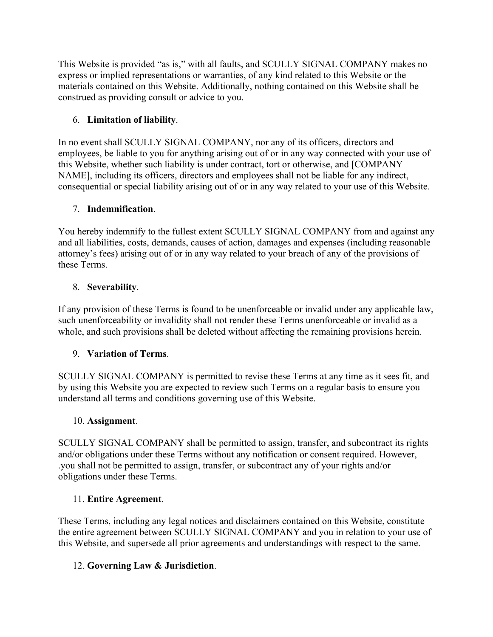This Website is provided "as is," with all faults, and SCULLY SIGNAL COMPANY makes no express or implied representations or warranties, of any kind related to this Website or the materials contained on this Website. Additionally, nothing contained on this Website shall be construed as providing consult or advice to you.

# 6. **Limitation of liability**.

In no event shall SCULLY SIGNAL COMPANY, nor any of its officers, directors and employees, be liable to you for anything arising out of or in any way connected with your use of this Website, whether such liability is under contract, tort or otherwise, and [COMPANY NAME], including its officers, directors and employees shall not be liable for any indirect, consequential or special liability arising out of or in any way related to your use of this Website.

# 7. **Indemnification**.

You hereby indemnify to the fullest extent SCULLY SIGNAL COMPANY from and against any and all liabilities, costs, demands, causes of action, damages and expenses (including reasonable attorney's fees) arising out of or in any way related to your breach of any of the provisions of these Terms.

# 8. **Severability**.

If any provision of these Terms is found to be unenforceable or invalid under any applicable law, such unenforceability or invalidity shall not render these Terms unenforceable or invalid as a whole, and such provisions shall be deleted without affecting the remaining provisions herein.

# 9. **Variation of Terms**.

SCULLY SIGNAL COMPANY is permitted to revise these Terms at any time as it sees fit, and by using this Website you are expected to review such Terms on a regular basis to ensure you understand all terms and conditions governing use of this Website.

### 10. **Assignment**.

SCULLY SIGNAL COMPANY shall be permitted to assign, transfer, and subcontract its rights and/or obligations under these Terms without any notification or consent required. However, .you shall not be permitted to assign, transfer, or subcontract any of your rights and/or obligations under these Terms.

### 11. **Entire Agreement**.

These Terms, including any legal notices and disclaimers contained on this Website, constitute the entire agreement between SCULLY SIGNAL COMPANY and you in relation to your use of this Website, and supersede all prior agreements and understandings with respect to the same.

# 12. **Governing Law & Jurisdiction**.